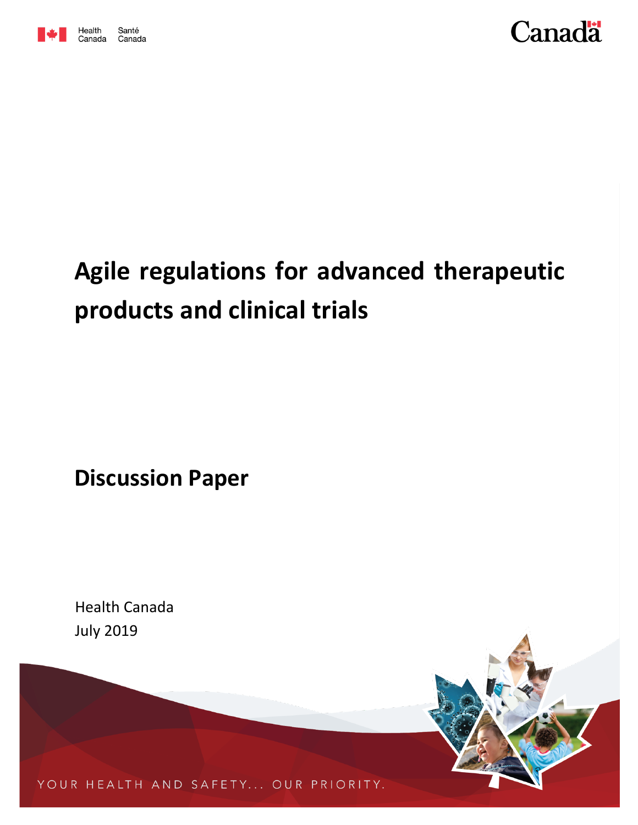



# **Agile regulations for advanced therapeutic products and clinical trials**

**Discussion Paper**

Health Canada July 2019



YOUR HEALTH AND SAFETY... OUR PRIORITY.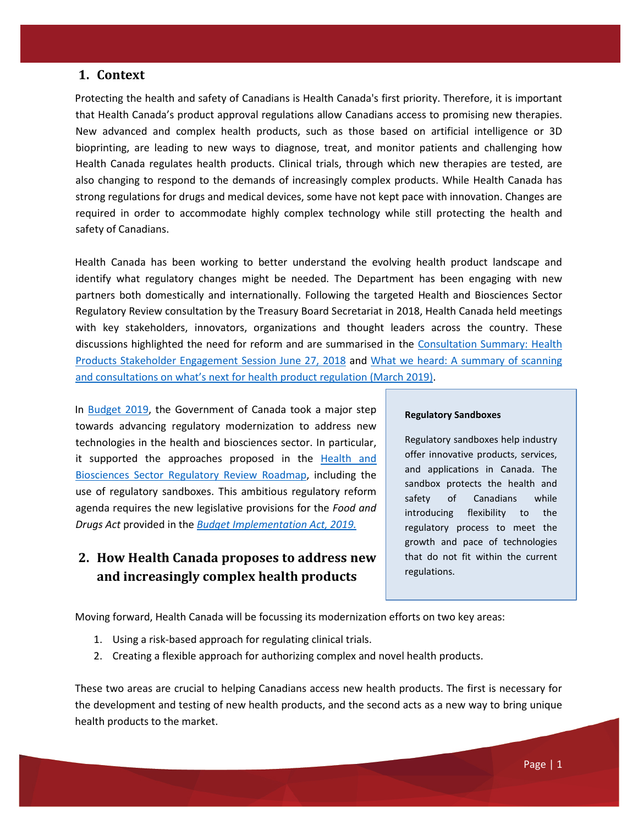### **1. Context**

Protecting the health and safety of Canadians is Health Canada's first priority. Therefore, it is important that Health Canada's product approval regulations allow Canadians access to promising new therapies. New advanced and complex health products, such as those based on artificial intelligence or 3D bioprinting, are leading to new ways to diagnose, treat, and monitor patients and challenging how Health Canada regulates health products. Clinical trials, through which new therapies are tested, are also changing to respond to the demands of increasingly complex products. While Health Canada has strong regulations for drugs and medical devices, some have not kept pace with innovation. Changes are required in order to accommodate highly complex technology while still protecting the health and safety of Canadians.

Health Canada has been working to better understand the evolving health product landscape and identify what regulatory changes might be needed. The Department has been engaging with new partners both domestically and internationally. Following the targeted Health and Biosciences Sector Regulatory Review consultation by the Treasury Board Secretariat in 2018, Health Canada held meetings with key stakeholders, innovators, organizations and thought leaders across the country. These discussions highlighted the need for reform and are summarised in the [Consultation Summary: Health](https://www.canada.ca/en/health-canada/services/publications/drugs-health-products/consultation-summary-june-2018.html)  [Products Stakeholder Engagement Session June 27, 2018](https://www.canada.ca/en/health-canada/services/publications/drugs-health-products/consultation-summary-june-2018.html) and [What we heard: A summary of scanning](https://www.canada.ca/en/health-canada/services/publications/drugs-health-products/consultation-summary-health-product-regulation.html)  [and consultations on what's next for health product regulation](https://www.canada.ca/en/health-canada/services/publications/drugs-health-products/consultation-summary-health-product-regulation.html) (March 2019[\).](https://www.canada.ca/en/health-canada/services/publications/drugs-health-products/consultation-summary-health-product-regulation.html)

In [Budget 2019,](https://www.budget.gc.ca/2019/home-accueil-en.html) the Government of Canada took a major step towards advancing regulatory modernization to address new technologies in the health and biosciences sector. In particular, it supported the approaches proposed in the [Health and](https://www.canada.ca/en/health-canada/corporate/about-health-canada/legislation-guidelines/acts-regulations/targeted-regulatory-reviews/health-biosciences-sector-regulatory-review-roadmap.html)  [Biosciences Sector Regulatory Review Roadmap,](https://www.canada.ca/en/health-canada/corporate/about-health-canada/legislation-guidelines/acts-regulations/targeted-regulatory-reviews/health-biosciences-sector-regulatory-review-roadmap.html) including the use of regulatory sandboxes. This ambitious regulatory reform agenda requires the new legislative provisions for the *Food and Drugs Act* provided in the *[Budget Implementation Act, 2019.](https://www.parl.ca/LegisInfo/BillDetails.aspx?Language=E&billId=10404016)*

# **2. How Health Canada proposes to address new and increasingly complex health products**

#### **Regulatory Sandboxes**

Regulatory sandboxes help industry offer innovative products, services, and applications in Canada. The sandbox protects the health and safety of Canadians while introducing flexibility to the regulatory process to meet the growth and pace of technologies that do not fit within the current regulations.

Moving forward, Health Canada will be focussing its modernization efforts on two key areas:

- 1. Using a risk-based approach for regulating clinical trials.
- 2. Creating a flexible approach for authorizing complex and novel health products.

These two areas are crucial to helping Canadians access new health products. The first is necessary for the development and testing of new health products, and the second acts as a new way to bring unique health products to the market.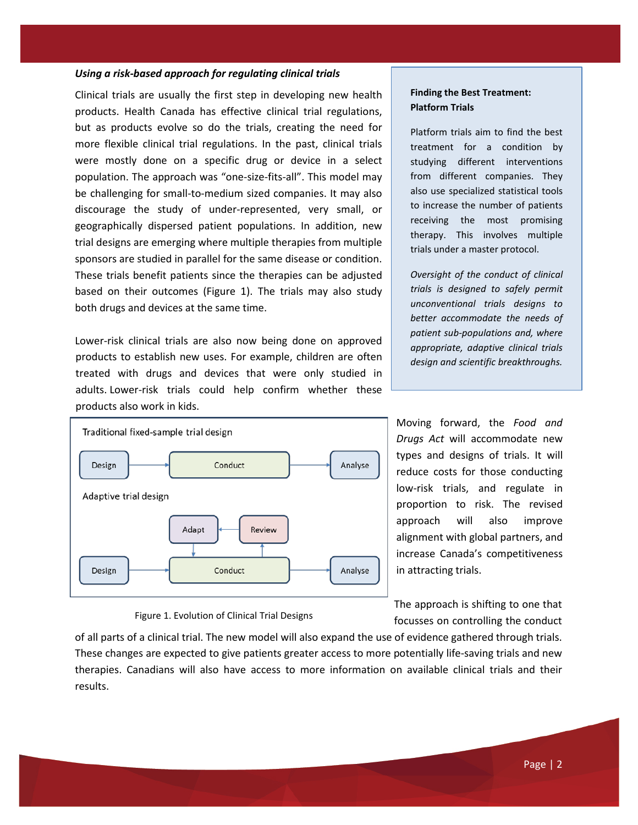#### *Using a risk-based approach for regulating clinical trials*

Clinical trials are usually the first step in developing new health products. Health Canada has effective clinical trial regulations, but as products evolve so do the trials, creating the need for more flexible clinical trial regulations. In the past, clinical trials were mostly done on a specific drug or device in a select population. The approach was "one-size-fits-all". This model may be challenging for small-to-medium sized companies. It may also discourage the study of under-represented, very small, or geographically dispersed patient populations. In addition, new trial designs are emerging where multiple therapies from multiple sponsors are studied in parallel for the same disease or condition. These trials benefit patients since the therapies can be adjusted based on their outcomes (Figure 1). The trials may also study both drugs and devices at the same time.

Lower-risk clinical trials are also now being done on approved products to establish new uses. For example, children are often treated with drugs and devices that were only studied in adults. Lower-risk trials could help confirm whether these products also work in kids.



Figure 1. Evolution of Clinical Trial Designs

#### **Finding the Best Treatment: Platform Trials**

Platform trials aim to find the best treatment for a condition by studying different interventions from different companies. They also use specialized statistical tools to increase the number of patients receiving the most promising therapy. This involves multiple trials under a master protocol.

*Oversight of the conduct of clinical trials is designed to safely permit unconventional trials designs to better accommodate the needs of patient sub-populations and, where appropriate, adaptive clinical trials design and scientific breakthroughs.*

Moving forward, the *Food and Drugs Act* will accommodate new types and designs of trials. It will reduce costs for those conducting low-risk trials, and regulate in proportion to risk. The revised approach will also improve alignment with global partners, and increase Canada's competitiveness in attracting trials.

The approach is shifting to one that focusses on controlling the conduct

of all parts of a clinical trial. The new model will also expand the use of evidence gathered through trials. These changes are expected to give patients greater access to more potentially life-saving trials and new therapies. Canadians will also have access to more information on available clinical trials and their results.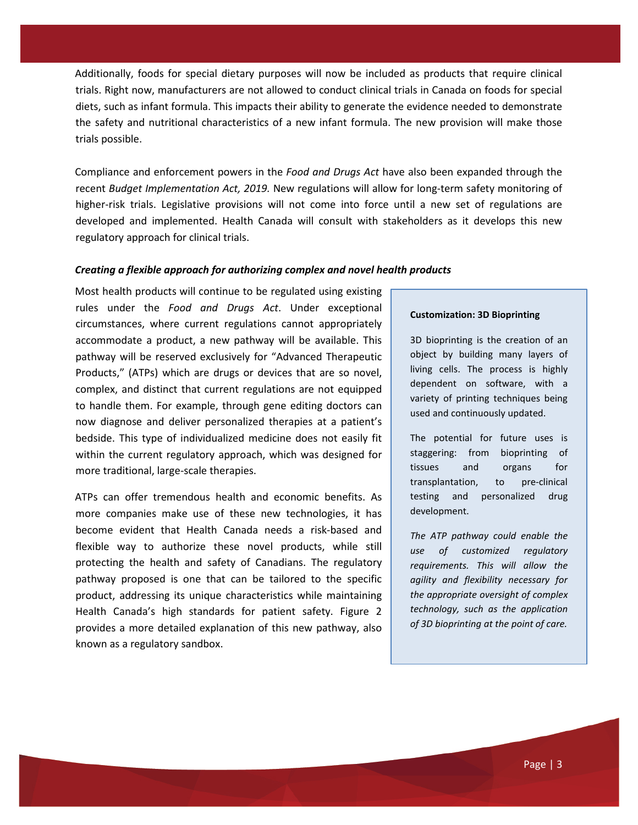Additionally, foods for special dietary purposes will now be included as products that require clinical trials. Right now, manufacturers are not allowed to conduct clinical trials in Canada on foods for special diets, such as infant formula. This impacts their ability to generate the evidence needed to demonstrate the safety and nutritional characteristics of a new infant formula. The new provision will make those trials possible.

Compliance and enforcement powers in the *Food and Drugs Act* have also been expanded through the recent *Budget Implementation Act, 2019.* New regulations will allow for long-term safety monitoring of higher-risk trials. Legislative provisions will not come into force until a new set of regulations are developed and implemented. Health Canada will consult with stakeholders as it develops this new regulatory approach for clinical trials.

#### *Creating a flexible approach for authorizing complex and novel health products*

Most health products will continue to be regulated using existing rules under the *Food and Drugs Act*. Under exceptional circumstances, where current regulations cannot appropriately accommodate a product, a new pathway will be available. This pathway will be reserved exclusively for "Advanced Therapeutic Products," (ATPs) which are drugs or devices that are so novel, complex, and distinct that current regulations are not equipped to handle them. For example, through gene editing doctors can now diagnose and deliver personalized therapies at a patient's bedside. This type of individualized medicine does not easily fit within the current regulatory approach, which was designed for more traditional, large-scale therapies.

ATPs can offer tremendous health and economic benefits. As more companies make use of these new technologies, it has become evident that Health Canada needs a risk-based and flexible way to authorize these novel products, while still protecting the health and safety of Canadians. The regulatory pathway proposed is one that can be tailored to the specific product, addressing its unique characteristics while maintaining Health Canada's high standards for patient safety. Figure 2 provides a more detailed explanation of this new pathway, also known as a regulatory sandbox.

#### **Customization: 3D Bioprinting**

3D bioprinting is the creation of an object by building many layers of living cells. The process is highly dependent on software, with a variety of printing techniques being used and continuously updated.

The potential for future uses is staggering: from bioprinting of tissues and organs for transplantation, to pre-clinical testing and personalized drug development.

*The ATP pathway could enable the use of customized regulatory requirements. This will allow the agility and flexibility necessary for the appropriate oversight of complex technology, such as the application of 3D bioprinting at the point of care.*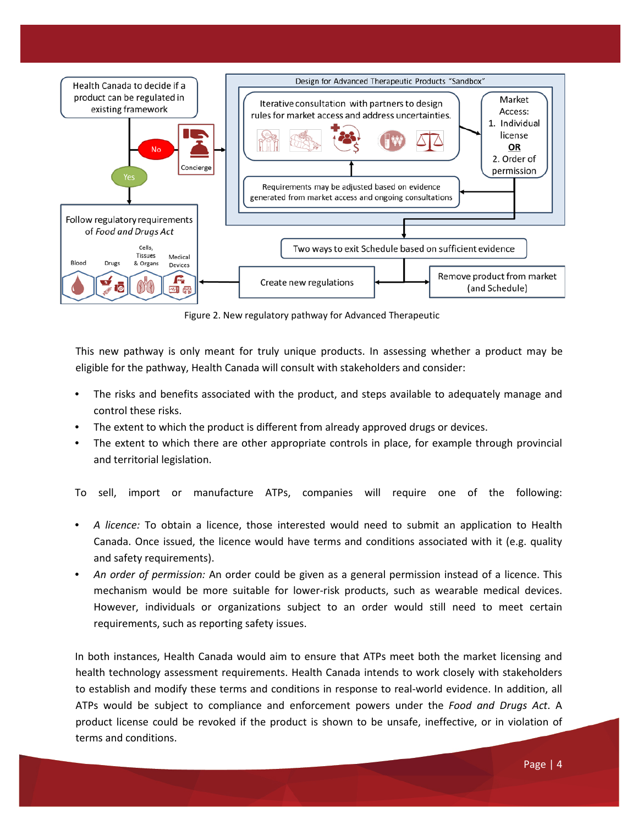

Figure 2. New regulatory pathway for Advanced Therapeutic

This new pathway is only meant for truly unique products. In assessing whether a product may be eligible for the pathway, Health Canada will consult with stakeholders and consider:

- The risks and benefits associated with the product, and steps available to adequately manage and control these risks.
- The extent to which the product is different from already approved drugs or devices.
- The extent to which there are other appropriate controls in place, for example through provincial and territorial legislation.

To sell, import or manufacture ATPs, companies will require one of the following:

- *A licence:* To obtain a licence, those interested would need to submit an application to Health Canada. Once issued, the licence would have terms and conditions associated with it (e.g. quality and safety requirements).
- *An order of permission:* An order could be given as a general permission instead of a licence. This mechanism would be more suitable for lower-risk products, such as wearable medical devices. However, individuals or organizations subject to an order would still need to meet certain requirements, such as reporting safety issues.

In both instances, Health Canada would aim to ensure that ATPs meet both the market licensing and health technology assessment requirements. Health Canada intends to work closely with stakeholders to establish and modify these terms and conditions in response to real-world evidence. In addition, all ATPs would be subject to compliance and enforcement powers under the *Food and Drugs Act*. A product license could be revoked if the product is shown to be unsafe, ineffective, or in violation of terms and conditions.